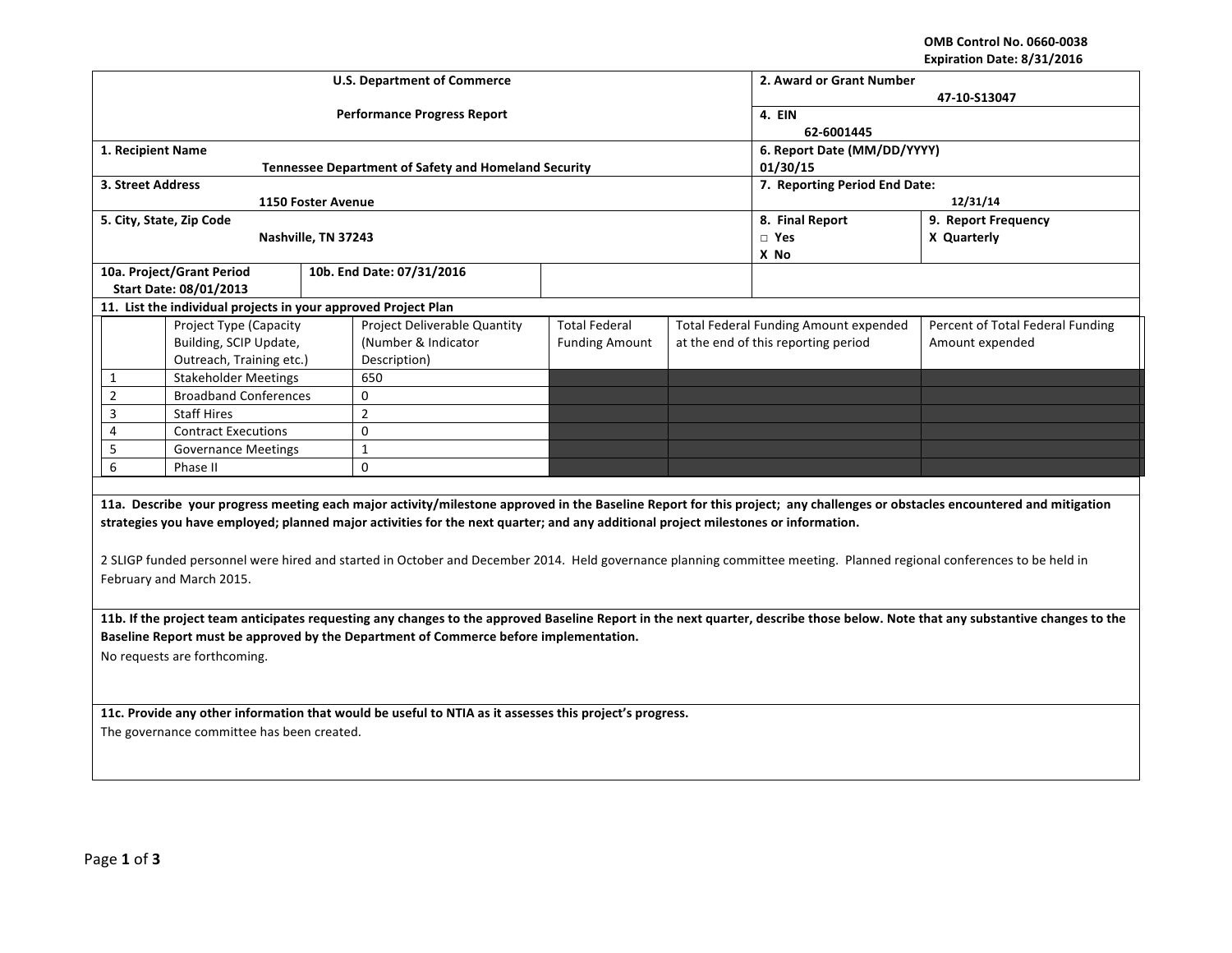**OMB Control No. 0660-0038 Expiration Date: 8/31/2016**

| <b>U.S. Department of Commerce</b>                                                                                                                                                               |                                                                |                     |                                                             |                       |                             | 2. Award or Grant Number                     |                                                                                                                                                                            |  |  |  |
|--------------------------------------------------------------------------------------------------------------------------------------------------------------------------------------------------|----------------------------------------------------------------|---------------------|-------------------------------------------------------------|-----------------------|-----------------------------|----------------------------------------------|----------------------------------------------------------------------------------------------------------------------------------------------------------------------------|--|--|--|
|                                                                                                                                                                                                  |                                                                |                     |                                                             |                       | 47-10-S13047                |                                              |                                                                                                                                                                            |  |  |  |
|                                                                                                                                                                                                  |                                                                |                     | <b>Performance Progress Report</b>                          |                       | 4. EIN                      |                                              |                                                                                                                                                                            |  |  |  |
|                                                                                                                                                                                                  |                                                                |                     |                                                             | 62-6001445            |                             |                                              |                                                                                                                                                                            |  |  |  |
| 1. Recipient Name                                                                                                                                                                                |                                                                |                     |                                                             |                       | 6. Report Date (MM/DD/YYYY) |                                              |                                                                                                                                                                            |  |  |  |
|                                                                                                                                                                                                  |                                                                |                     | <b>Tennessee Department of Safety and Homeland Security</b> |                       |                             | 01/30/15                                     |                                                                                                                                                                            |  |  |  |
| 3. Street Address                                                                                                                                                                                |                                                                |                     |                                                             |                       |                             | 7. Reporting Period End Date:                |                                                                                                                                                                            |  |  |  |
|                                                                                                                                                                                                  |                                                                | 1150 Foster Avenue  |                                                             |                       |                             | 12/31/14                                     |                                                                                                                                                                            |  |  |  |
|                                                                                                                                                                                                  | 5. City, State, Zip Code                                       |                     |                                                             |                       |                             | 8. Final Report                              | 9. Report Frequency                                                                                                                                                        |  |  |  |
|                                                                                                                                                                                                  |                                                                | Nashville, TN 37243 |                                                             |                       |                             | $\Box$ Yes                                   | X Quarterly                                                                                                                                                                |  |  |  |
|                                                                                                                                                                                                  |                                                                |                     |                                                             |                       |                             | X No                                         |                                                                                                                                                                            |  |  |  |
|                                                                                                                                                                                                  | 10a. Project/Grant Period                                      |                     | 10b. End Date: 07/31/2016                                   |                       |                             |                                              |                                                                                                                                                                            |  |  |  |
|                                                                                                                                                                                                  | <b>Start Date: 08/01/2013</b>                                  |                     |                                                             |                       |                             |                                              |                                                                                                                                                                            |  |  |  |
|                                                                                                                                                                                                  | 11. List the individual projects in your approved Project Plan |                     |                                                             |                       |                             |                                              |                                                                                                                                                                            |  |  |  |
|                                                                                                                                                                                                  | Project Type (Capacity                                         |                     | Project Deliverable Quantity                                | <b>Total Federal</b>  |                             | <b>Total Federal Funding Amount expended</b> | Percent of Total Federal Funding                                                                                                                                           |  |  |  |
|                                                                                                                                                                                                  | Building, SCIP Update,                                         |                     | (Number & Indicator                                         | <b>Funding Amount</b> |                             | at the end of this reporting period          | Amount expended                                                                                                                                                            |  |  |  |
|                                                                                                                                                                                                  | Outreach, Training etc.)                                       |                     | Description)                                                |                       |                             |                                              |                                                                                                                                                                            |  |  |  |
| 1                                                                                                                                                                                                | <b>Stakeholder Meetings</b>                                    |                     | 650                                                         |                       |                             |                                              |                                                                                                                                                                            |  |  |  |
| $\overline{2}$                                                                                                                                                                                   | <b>Broadband Conferences</b>                                   |                     | $\mathbf 0$                                                 |                       |                             |                                              |                                                                                                                                                                            |  |  |  |
| 3                                                                                                                                                                                                | <b>Staff Hires</b>                                             |                     | $\overline{2}$                                              |                       |                             |                                              |                                                                                                                                                                            |  |  |  |
| 4                                                                                                                                                                                                | <b>Contract Executions</b>                                     |                     | 0                                                           |                       |                             |                                              |                                                                                                                                                                            |  |  |  |
| 5                                                                                                                                                                                                | <b>Governance Meetings</b>                                     |                     | $\mathbf{1}$                                                |                       |                             |                                              |                                                                                                                                                                            |  |  |  |
|                                                                                                                                                                                                  | 6<br>Phase II                                                  |                     | 0                                                           |                       |                             |                                              |                                                                                                                                                                            |  |  |  |
|                                                                                                                                                                                                  |                                                                |                     |                                                             |                       |                             |                                              |                                                                                                                                                                            |  |  |  |
|                                                                                                                                                                                                  |                                                                |                     |                                                             |                       |                             |                                              | 11a. Describe your progress meeting each major activity/milestone approved in the Baseline Report for this project; any challenges or obstacles encountered and mitigation |  |  |  |
| strategies you have employed; planned major activities for the next quarter; and any additional project milestones or information.                                                               |                                                                |                     |                                                             |                       |                             |                                              |                                                                                                                                                                            |  |  |  |
|                                                                                                                                                                                                  |                                                                |                     |                                                             |                       |                             |                                              |                                                                                                                                                                            |  |  |  |
|                                                                                                                                                                                                  |                                                                |                     |                                                             |                       |                             |                                              |                                                                                                                                                                            |  |  |  |
| 2 SLIGP funded personnel were hired and started in October and December 2014. Held governance planning committee meeting. Planned regional conferences to be held in<br>February and March 2015. |                                                                |                     |                                                             |                       |                             |                                              |                                                                                                                                                                            |  |  |  |
|                                                                                                                                                                                                  |                                                                |                     |                                                             |                       |                             |                                              |                                                                                                                                                                            |  |  |  |
| 11b. If the project team anticipates requesting any changes to the approved Baseline Report in the next quarter, describe those below. Note that any substantive changes to the                  |                                                                |                     |                                                             |                       |                             |                                              |                                                                                                                                                                            |  |  |  |
|                                                                                                                                                                                                  |                                                                |                     |                                                             |                       |                             |                                              |                                                                                                                                                                            |  |  |  |
| Baseline Report must be approved by the Department of Commerce before implementation.                                                                                                            |                                                                |                     |                                                             |                       |                             |                                              |                                                                                                                                                                            |  |  |  |
| No requests are forthcoming.                                                                                                                                                                     |                                                                |                     |                                                             |                       |                             |                                              |                                                                                                                                                                            |  |  |  |
|                                                                                                                                                                                                  |                                                                |                     |                                                             |                       |                             |                                              |                                                                                                                                                                            |  |  |  |
|                                                                                                                                                                                                  |                                                                |                     |                                                             |                       |                             |                                              |                                                                                                                                                                            |  |  |  |
| 11c. Provide any other information that would be useful to NTIA as it assesses this project's progress.                                                                                          |                                                                |                     |                                                             |                       |                             |                                              |                                                                                                                                                                            |  |  |  |
| The governance committee has been created.                                                                                                                                                       |                                                                |                     |                                                             |                       |                             |                                              |                                                                                                                                                                            |  |  |  |
|                                                                                                                                                                                                  |                                                                |                     |                                                             |                       |                             |                                              |                                                                                                                                                                            |  |  |  |
|                                                                                                                                                                                                  |                                                                |                     |                                                             |                       |                             |                                              |                                                                                                                                                                            |  |  |  |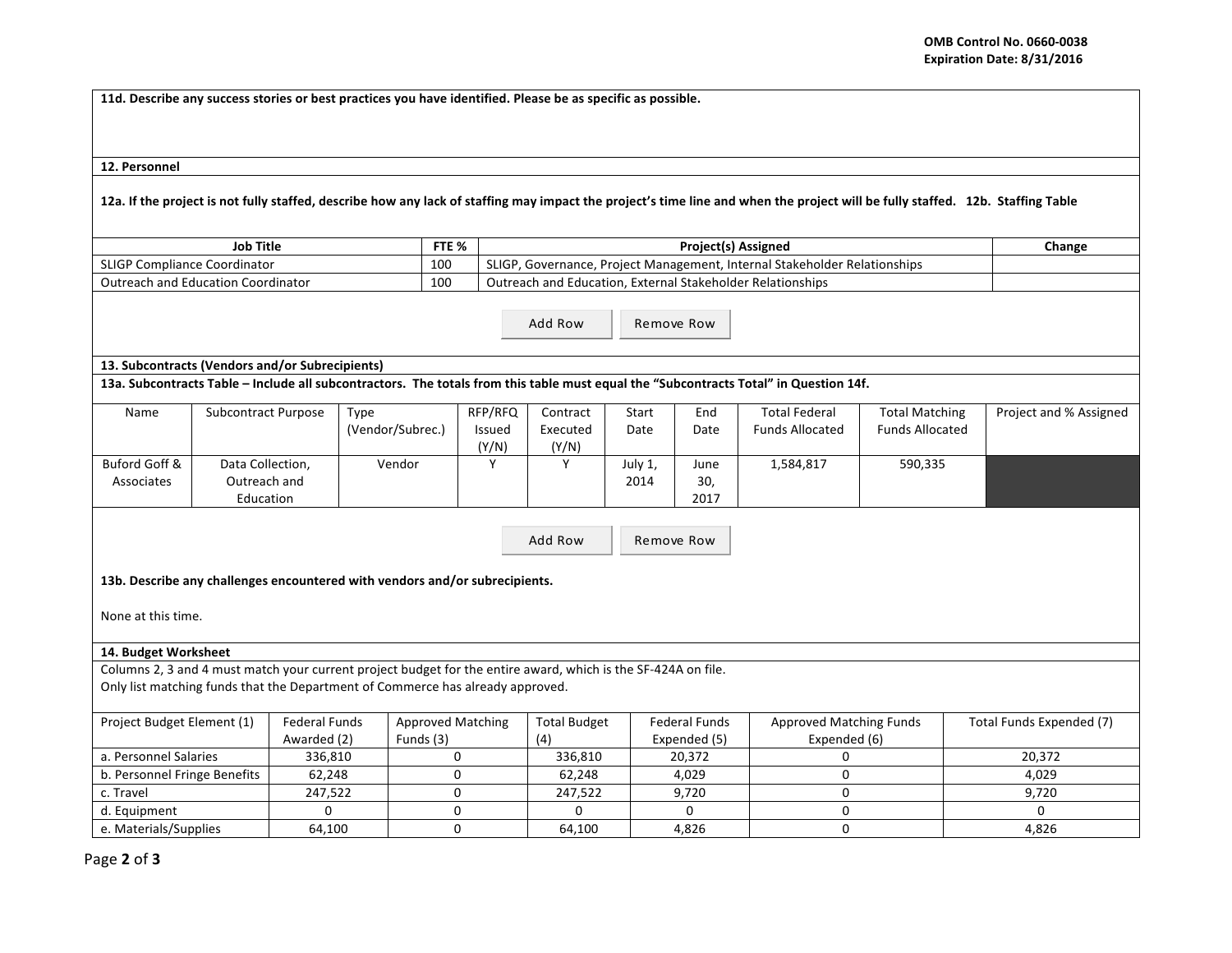**11d.** Describe any success stories or best practices you have identified. Please be as specific as possible.

12. Personnel

12a. If the project is not fully staffed, describe how any lack of staffing may impact the project's time line and when the project will be fully staffed. 12b. Staffing Table

| <b>Job Title</b>                               | FTE <sub>%</sub> | <b>Project(s) Assigned</b>                                                                        | Change |
|------------------------------------------------|------------------|---------------------------------------------------------------------------------------------------|--------|
| SLIGP <sub>C</sub><br>' Compliance Coordinator | 100              | <b>SLIGF</b><br><sup>7</sup> , Governance, Project Management, Internal Stakeholder Relationships |        |
| <b>Outreach and Education Coordinator</b>      | 100              | Outreach and Education, External Stakeholder Relationships                                        |        |

Add Row Remove Row

## **13. Subcontracts (Vendors and/or Subrecipients)**

13a. Subcontracts Table – Include all subcontractors. The totals from this table must equal the "Subcontracts Total" in Question 14f.

| Name          | Subcontract Purpose | Type             | RFP/RFQ | Contract | Start   | End  | <b>Total Federal</b>   | <b>Total Matching</b>  | Project and % Assigned |
|---------------|---------------------|------------------|---------|----------|---------|------|------------------------|------------------------|------------------------|
|               |                     | (Vendor/Subrec.) | Issued  | Executed | Date    | Date | <b>Funds Allocated</b> | <b>Funds Allocated</b> |                        |
|               |                     |                  | (Y/N)   | (Y/N)    |         |      |                        |                        |                        |
| Buford Goff & | Data Collection,    | Vendor           |         |          | July 1, | June | 1,584,817              | 590,335                |                        |
| Associates    | Outreach and        |                  |         |          | 2014    | 30,  |                        |                        |                        |
|               | Education           |                  |         |          |         | 2017 |                        |                        |                        |

Add Row Remove Row

13b. Describe any challenges encountered with vendors and/or subrecipients.

None at this time.

## **14. Budget Worksheet**

Columns 2, 3 and 4 must match your current project budget for the entire award, which is the SF-424A on file. Only list matching funds that the Department of Commerce has already approved.

| Project Budget Element (1)   | Federal Funds | <b>Approved Matching</b> | <b>Total Budget</b> | Federal Funds | Approved Matching Funds | Total Funds Expended (7) |
|------------------------------|---------------|--------------------------|---------------------|---------------|-------------------------|--------------------------|
|                              | Awarded (2)   | Funds (3)                | (4)                 | Expended (5)  | Expended (6)            |                          |
| a. Personnel Salaries        | 336.810       |                          | 336.810             | 20.372        |                         | 20.372                   |
| b. Personnel Fringe Benefits | 62,248        |                          | 62.248              | 4.029         |                         | 4.029                    |
| c. Travel                    | 247.522       |                          | 247.522             | 9.720         |                         | 9.720                    |
| d. Equipment                 |               |                          |                     |               |                         |                          |
| e. Materials/Supplies        | 64,100        |                          | 64.100              | 4,826         |                         | 4,826                    |

Page **2** of **3**